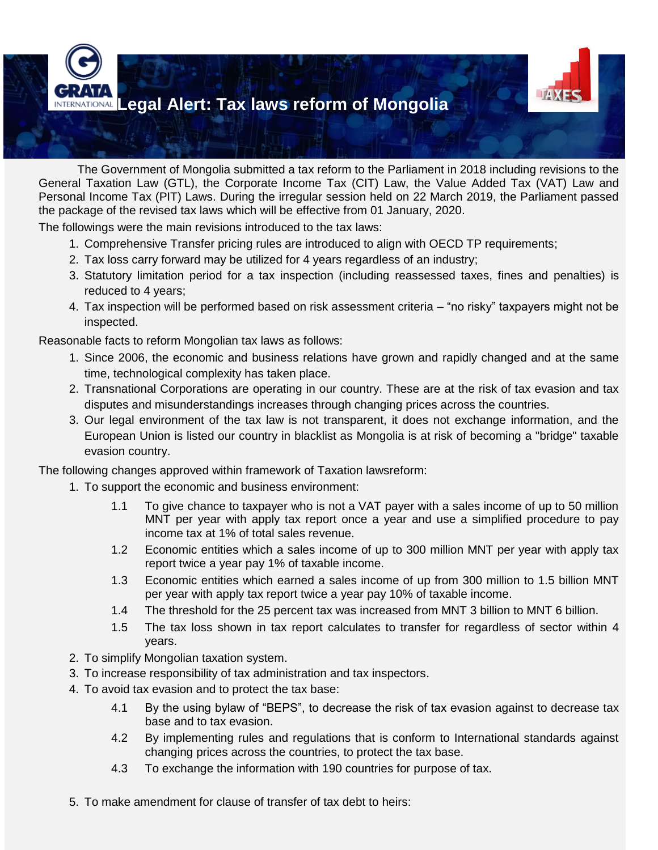

The Government of Mongolia submitted a tax reform to the Parliament in 2018 including revisions to the General Taxation Law (GTL), the Corporate Income Tax (CIT) Law, the Value Added Tax (VAT) Law and Personal Income Tax (PIT) Laws. During the irregular session held on 22 March 2019, the Parliament passed the package of the revised tax laws which will be effective from 01 January, 2020.

The followings were the main revisions introduced to the tax laws:

- 1. Comprehensive Transfer pricing rules are introduced to align with OECD TP requirements;
- 2. Tax loss carry forward may be utilized for 4 years regardless of an industry;
- 3. Statutory limitation period for a tax inspection (including reassessed taxes, fines and penalties) is reduced to 4 years;
- 4. Tax inspection will be performed based on risk assessment criteria "no risky" taxpayers might not be inspected.

Reasonable facts to reform Mongolian tax laws as follows:

- 1. Since 2006, the economic and business relations have grown and rapidly changed and at the same time, technological complexity has taken place.
- 2. Transnational Corporations are operating in our country. These are at the risk of tax evasion and tax disputes and misunderstandings increases through changing prices across the countries.
- 3. Our legal environment of the tax law is not transparent, it does not exchange information, and the European Union is listed our country in blacklist as Mongolia is at risk of becoming a "bridge" taxable evasion country.

The following changes approved within framework of Taxation lawsreform:

- 1. To support the economic and business environment:
	- 1.1 To give chance to taxpayer who is not a VAT payer with a sales income of up to 50 million MNT per year with apply tax report once a year and use a simplified procedure to pay income tax at 1% of total sales revenue.
	- 1.2 Economic entities which a sales income of up to 300 million MNT per year with apply tax report twice a year pay 1% of taxable income.
	- 1.3 Economic entities which earned a sales income of up from 300 million to 1.5 billion MNT per year with apply tax report twice a year pay 10% of taxable income.
	- 1.4 The threshold for the 25 percent tax was increased from MNT 3 billion to MNT 6 billion.
	- 1.5 The tax loss shown in tax report calculates to transfer for regardless of sector within 4 years.
- 2. To simplify Mongolian taxation system.
- 3. To increase responsibility of tax administration and tax inspectors.
- 4. To avoid tax evasion and to protect the tax base:
	- 4.1 By the using bylaw of "BEPS", to decrease the risk of tax evasion against to decrease tax base and to tax evasion.
	- 4.2 By implementing rules and regulations that is conform to International standards against changing prices across the countries, to protect the tax base.
	- 4.3 To exchange the information with 190 countries for purpose of tax.
- 5. To make amendment for clause of transfer of tax debt to heirs: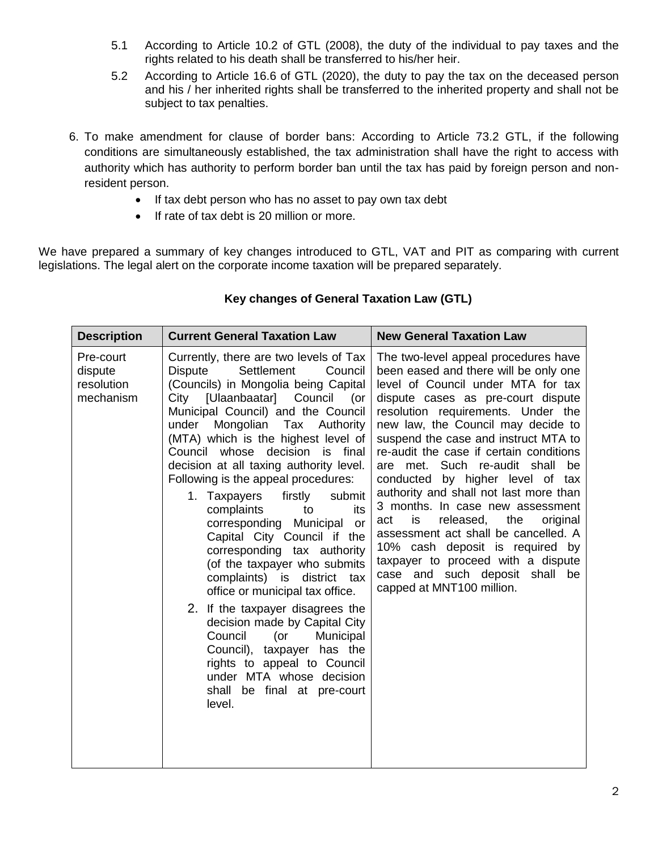- 5.1 According to Article 10.2 of GTL (2008), the duty of the individual to pay taxes and the rights related to his death shall be transferred to his/her heir.
- 5.2 According to Article 16.6 of GTL (2020), the duty to pay the tax on the deceased person and his / her inherited rights shall be transferred to the inherited property and shall not be subject to tax penalties.
- 6. To make amendment for clause of border bans: According to Article 73.2 GTL, if the following conditions are simultaneously established, the tax administration shall have the right to access with authority which has authority to perform border ban until the tax has paid by foreign person and nonresident person.
	- If tax debt person who has no asset to pay own tax debt
	- If rate of tax debt is 20 million or more.

We have prepared a summary of key changes introduced to GTL, VAT and PIT as comparing with current legislations. The legal alert on the corporate income taxation will be prepared separately.

| <b>Description</b>                              | <b>Current General Taxation Law</b>                                                                                                                                                                                                                                                                                                                                                                                                                                                                                                                                                                                                                                                                                                                                                                                                                                                                                  | <b>New General Taxation Law</b>                                                                                                                                                                                                                                                                                                                                                                                                                                                                                                                                                                                                                                                                               |
|-------------------------------------------------|----------------------------------------------------------------------------------------------------------------------------------------------------------------------------------------------------------------------------------------------------------------------------------------------------------------------------------------------------------------------------------------------------------------------------------------------------------------------------------------------------------------------------------------------------------------------------------------------------------------------------------------------------------------------------------------------------------------------------------------------------------------------------------------------------------------------------------------------------------------------------------------------------------------------|---------------------------------------------------------------------------------------------------------------------------------------------------------------------------------------------------------------------------------------------------------------------------------------------------------------------------------------------------------------------------------------------------------------------------------------------------------------------------------------------------------------------------------------------------------------------------------------------------------------------------------------------------------------------------------------------------------------|
| Pre-court<br>dispute<br>resolution<br>mechanism | Currently, there are two levels of Tax<br><b>Dispute</b><br>Settlement<br>Council<br>(Councils) in Mongolia being Capital<br>[Ulaanbaatar]<br>Council<br>City<br>(or<br>Municipal Council) and the Council<br>under<br>Mongolian Tax Authority<br>(MTA) which is the highest level of<br>Council whose decision<br>is final<br>decision at all taxing authority level.<br>Following is the appeal procedures:<br>firstly<br>submit<br>1. Taxpayers<br>complaints<br>its<br>to<br>corresponding Municipal<br>or<br>Capital City Council if the<br>corresponding tax authority<br>(of the taxpayer who submits<br>complaints) is district tax<br>office or municipal tax office.<br>2. If the taxpayer disagrees the<br>decision made by Capital City<br>Council<br>Municipal<br>(or<br>Council), taxpayer has the<br>rights to appeal to Council<br>under MTA whose decision<br>shall be final at pre-court<br>level. | The two-level appeal procedures have<br>been eased and there will be only one<br>level of Council under MTA for tax<br>dispute cases as pre-court dispute<br>resolution requirements. Under the<br>new law, the Council may decide to<br>suspend the case and instruct MTA to<br>re-audit the case if certain conditions<br>met. Such re-audit shall be<br>are<br>by higher level of tax<br>conducted<br>authority and shall not last more than<br>3 months. In case new assessment<br>is<br>released, the<br>act<br>original<br>assessment act shall be cancelled. A<br>10% cash deposit is required by<br>taxpayer to proceed with a dispute<br>case and such deposit shall be<br>capped at MNT100 million. |

## **Key changes of General Taxation Law (GTL)**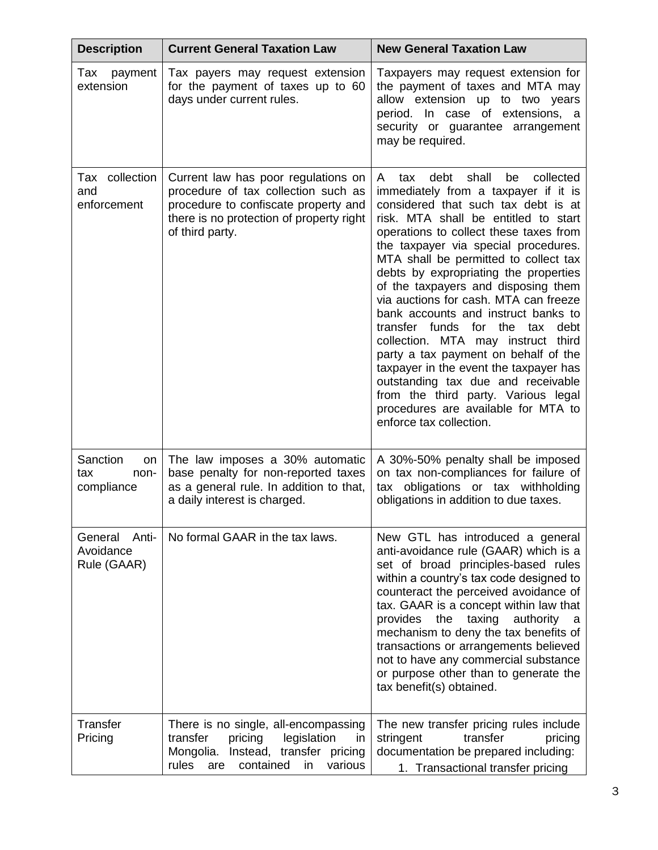| <b>Description</b>                           | <b>Current General Taxation Law</b>                                                                                                                                               | <b>New General Taxation Law</b>                                                                                                                                                                                                                                                                                                                                                                                                                                                                                                                                                                                                                                                                                                                                                   |
|----------------------------------------------|-----------------------------------------------------------------------------------------------------------------------------------------------------------------------------------|-----------------------------------------------------------------------------------------------------------------------------------------------------------------------------------------------------------------------------------------------------------------------------------------------------------------------------------------------------------------------------------------------------------------------------------------------------------------------------------------------------------------------------------------------------------------------------------------------------------------------------------------------------------------------------------------------------------------------------------------------------------------------------------|
| Tax<br>payment<br>extension                  | Tax payers may request extension<br>for the payment of taxes up to 60<br>days under current rules.                                                                                | Taxpayers may request extension for<br>the payment of taxes and MTA may<br>allow extension up to two years<br>period. In case of extensions, a<br>security or guarantee arrangement<br>may be required.                                                                                                                                                                                                                                                                                                                                                                                                                                                                                                                                                                           |
| Tax collection<br>and<br>enforcement         | Current law has poor regulations on<br>procedure of tax collection such as<br>procedure to confiscate property and<br>there is no protection of property right<br>of third party. | debt<br>shall<br>be<br>collected<br>A<br>tax<br>immediately from a taxpayer if it is<br>considered that such tax debt is at<br>risk. MTA shall be entitled to start<br>operations to collect these taxes from<br>the taxpayer via special procedures.<br>MTA shall be permitted to collect tax<br>debts by expropriating the properties<br>of the taxpayers and disposing them<br>via auctions for cash. MTA can freeze<br>bank accounts and instruct banks to<br>transfer funds for<br>the<br>debt<br>tax<br>collection. MTA may instruct third<br>party a tax payment on behalf of the<br>taxpayer in the event the taxpayer has<br>outstanding tax due and receivable<br>from the third party. Various legal<br>procedures are available for MTA to<br>enforce tax collection. |
| Sanction<br>on<br>tax<br>non-<br>compliance  | The law imposes a 30% automatic<br>base penalty for non-reported taxes<br>as a general rule. In addition to that,<br>a daily interest is charged.                                 | A 30%-50% penalty shall be imposed<br>on tax non-compliances for failure of<br>tax obligations or tax withholding<br>obligations in addition to due taxes.                                                                                                                                                                                                                                                                                                                                                                                                                                                                                                                                                                                                                        |
| General<br>Anti-<br>Avoidance<br>Rule (GAAR) | No formal GAAR in the tax laws.                                                                                                                                                   | New GTL has introduced a general<br>anti-avoidance rule (GAAR) which is a<br>set of broad principles-based rules<br>within a country's tax code designed to<br>counteract the perceived avoidance of<br>tax. GAAR is a concept within law that<br>the<br>taxing<br>provides<br>authority<br>a<br>mechanism to deny the tax benefits of<br>transactions or arrangements believed<br>not to have any commercial substance<br>or purpose other than to generate the<br>tax benefit(s) obtained.                                                                                                                                                                                                                                                                                      |
| Transfer<br>Pricing                          | There is no single, all-encompassing<br>pricing<br>legislation<br>transfer<br>in<br>Mongolia.<br>Instead, transfer pricing<br>various<br>rules<br>contained<br>in<br>are          | The new transfer pricing rules include<br>transfer<br>stringent<br>pricing<br>documentation be prepared including:<br>1. Transactional transfer pricing                                                                                                                                                                                                                                                                                                                                                                                                                                                                                                                                                                                                                           |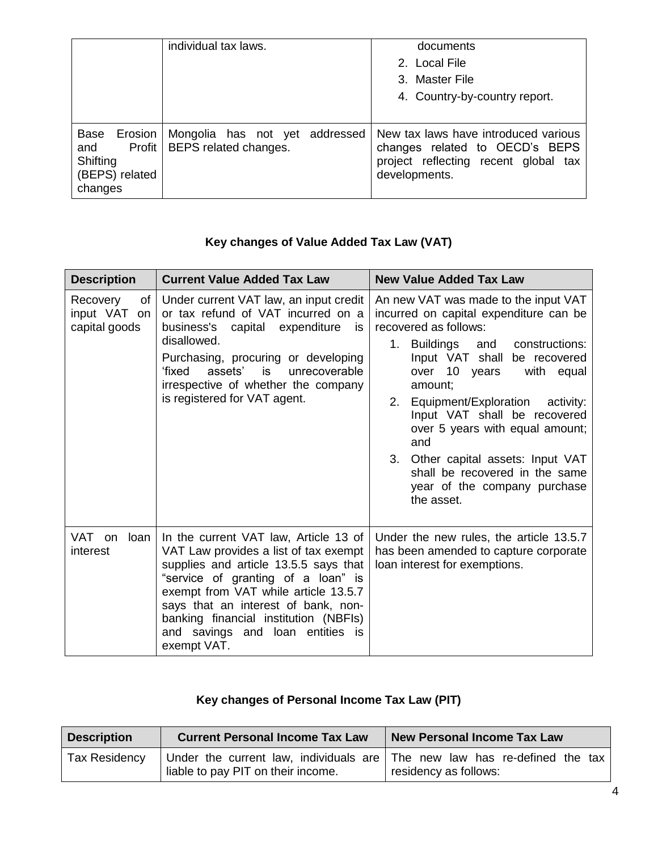|                                                                 | individual tax laws.                                             | documents<br>2. Local File<br>3. Master File<br>4. Country-by-country report.                                                   |
|-----------------------------------------------------------------|------------------------------------------------------------------|---------------------------------------------------------------------------------------------------------------------------------|
| Base<br>Erosion<br>and<br>Shifting<br>(BEPS) related<br>changes | Mongolia has not yet addressed<br>Profit   BEPS related changes. | New tax laws have introduced various<br>changes related to OECD's BEPS<br>project reflecting recent global tax<br>developments. |

## **Key changes of Value Added Tax Law (VAT)**

| <b>Description</b>                                | <b>Current Value Added Tax Law</b>                                                                                                                                                                                                                                                                                                       | <b>New Value Added Tax Law</b>                                                                                                                                                                                                                                                                                                                                                                                                                                   |
|---------------------------------------------------|------------------------------------------------------------------------------------------------------------------------------------------------------------------------------------------------------------------------------------------------------------------------------------------------------------------------------------------|------------------------------------------------------------------------------------------------------------------------------------------------------------------------------------------------------------------------------------------------------------------------------------------------------------------------------------------------------------------------------------------------------------------------------------------------------------------|
| of l<br>Recovery<br>input VAT on<br>capital goods | Under current VAT law, an input credit<br>or tax refund of VAT incurred on a<br>business's capital expenditure<br>is.<br>disallowed.<br>Purchasing, procuring or developing<br>assets'<br>'fixed<br>is<br>unrecoverable<br>irrespective of whether the company<br>is registered for VAT agent.                                           | An new VAT was made to the input VAT<br>incurred on capital expenditure can be<br>recovered as follows:<br>1. Buildings<br>and<br>constructions:<br>Input VAT shall be recovered<br>over 10 years<br>with equal<br>amount;<br>2. Equipment/Exploration activity:<br>Input VAT shall be recovered<br>over 5 years with equal amount;<br>and<br>3. Other capital assets: Input VAT<br>shall be recovered in the same<br>year of the company purchase<br>the asset. |
| VAT on<br>loan<br>interest                        | In the current VAT law, Article 13 of<br>VAT Law provides a list of tax exempt<br>supplies and article 13.5.5 says that<br>"service of granting of a loan" is<br>exempt from VAT while article 13.5.7<br>says that an interest of bank, non-<br>banking financial institution (NBFIs)<br>and savings and loan entities is<br>exempt VAT. | Under the new rules, the article 13.5.7<br>has been amended to capture corporate<br>loan interest for exemptions.                                                                                                                                                                                                                                                                                                                                                |

## **Key changes of Personal Income Tax Law (PIT)**

| <b>Description</b>   | <b>Current Personal Income Tax Law</b>                                                                          | <b>New Personal Income Tax Law</b> |
|----------------------|-----------------------------------------------------------------------------------------------------------------|------------------------------------|
| <b>Tax Residency</b> | Under the current law, individuals are The new law has re-defined the tax<br>liable to pay PIT on their income. | residency as follows:              |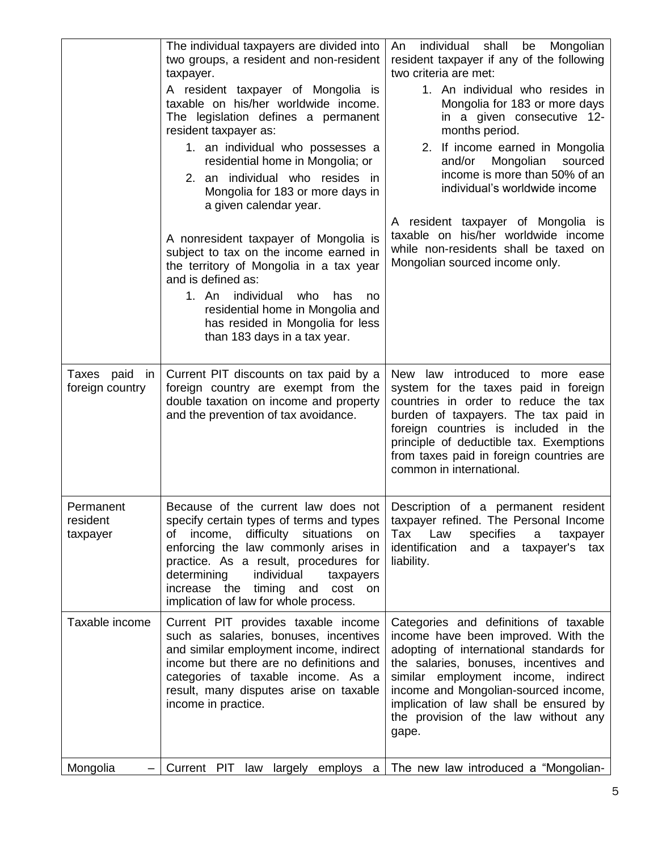|                                            | The individual taxpayers are divided into<br>two groups, a resident and non-resident<br>taxpayer.                                                                                                                                                                                                                                                  | individual shall be Mongolian<br>An<br>resident taxpayer if any of the following<br>two criteria are met:                                                                                                                                                                                                                                  |
|--------------------------------------------|----------------------------------------------------------------------------------------------------------------------------------------------------------------------------------------------------------------------------------------------------------------------------------------------------------------------------------------------------|--------------------------------------------------------------------------------------------------------------------------------------------------------------------------------------------------------------------------------------------------------------------------------------------------------------------------------------------|
|                                            | A resident taxpayer of Mongolia is<br>taxable on his/her worldwide income.<br>The legislation defines a permanent<br>resident taxpayer as:                                                                                                                                                                                                         | 1. An individual who resides in<br>Mongolia for 183 or more days<br>in a given consecutive 12-<br>months period.                                                                                                                                                                                                                           |
|                                            | 1. an individual who possesses a<br>residential home in Mongolia; or                                                                                                                                                                                                                                                                               | 2. If income earned in Mongolia<br>Mongolian<br>and/or<br>sourced<br>income is more than 50% of an                                                                                                                                                                                                                                         |
|                                            | 2. an individual who resides in<br>Mongolia for 183 or more days in<br>a given calendar year.                                                                                                                                                                                                                                                      | individual's worldwide income                                                                                                                                                                                                                                                                                                              |
|                                            | A nonresident taxpayer of Mongolia is<br>subject to tax on the income earned in<br>the territory of Mongolia in a tax year<br>and is defined as:                                                                                                                                                                                                   | A resident taxpayer of Mongolia is<br>taxable on his/her worldwide income<br>while non-residents shall be taxed on<br>Mongolian sourced income only.                                                                                                                                                                                       |
|                                            | 1. An<br>individual<br>who<br>has<br>no<br>residential home in Mongolia and<br>has resided in Mongolia for less<br>than 183 days in a tax year.                                                                                                                                                                                                    |                                                                                                                                                                                                                                                                                                                                            |
| Taxes paid<br><i>in</i><br>foreign country | Current PIT discounts on tax paid by a<br>foreign country are exempt from the<br>double taxation on income and property<br>and the prevention of tax avoidance.                                                                                                                                                                                    | New law introduced to more ease<br>system for the taxes paid in foreign<br>countries in order to reduce the tax<br>burden of taxpayers. The tax paid in<br>foreign countries is included in the<br>principle of deductible tax. Exemptions<br>from taxes paid in foreign countries are<br>common in international.                         |
| Permanent<br>resident<br>taxpayer          | Because of the current law does not<br>specify certain types of terms and types<br>difficulty<br>income,<br>situations<br>ot<br>on<br>enforcing the law commonly arises in<br>practice. As a result, procedures for<br>determining<br>individual<br>taxpayers<br>increase the<br>timing and<br>cost<br>on<br>implication of law for whole process. | Description of a permanent resident<br>taxpayer refined. The Personal Income<br>Tax<br>Law<br>specifies<br>taxpayer<br>a<br>identification<br>and<br>taxpayer's<br>a<br>tax<br>liability.                                                                                                                                                  |
| Taxable income                             | Current PIT provides taxable income<br>such as salaries, bonuses, incentives<br>and similar employment income, indirect<br>income but there are no definitions and<br>categories of taxable income. As a<br>result, many disputes arise on taxable<br>income in practice.                                                                          | Categories and definitions of taxable<br>income have been improved. With the<br>adopting of international standards for<br>the salaries, bonuses, incentives and<br>similar employment income, indirect<br>income and Mongolian-sourced income,<br>implication of law shall be ensured by<br>the provision of the law without any<br>gape. |
| Mongolia                                   | Current PIT law largely employs a                                                                                                                                                                                                                                                                                                                  | The new law introduced a "Mongolian-                                                                                                                                                                                                                                                                                                       |